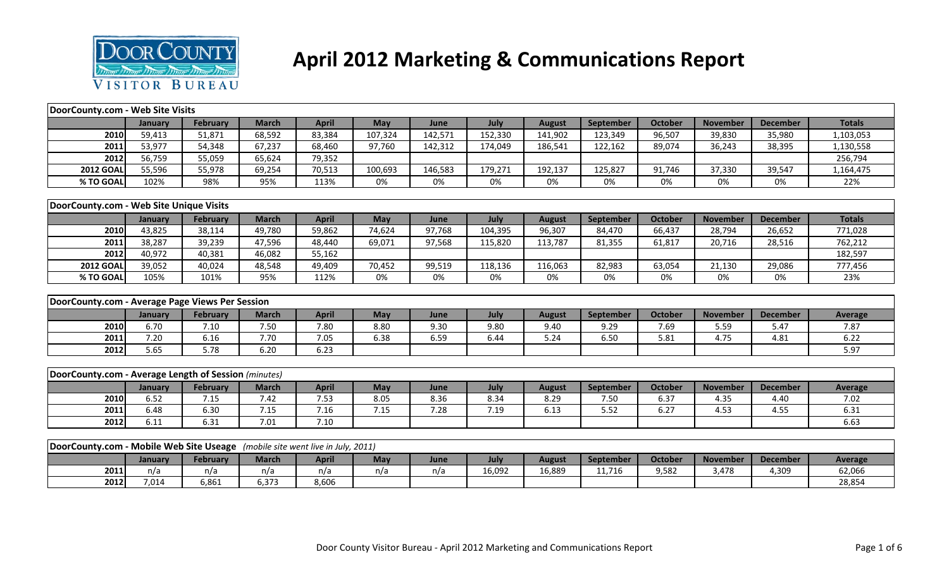

## **April 2012 Marketing & Communications Report**

| DoorCounty.com - Web Site Visits                                              |         |                 |              |              |            |         |         |               |                  |                |                 |                 |                |
|-------------------------------------------------------------------------------|---------|-----------------|--------------|--------------|------------|---------|---------|---------------|------------------|----------------|-----------------|-----------------|----------------|
|                                                                               | January | <b>February</b> | <b>March</b> | <b>April</b> | May        | June    | July    | <b>August</b> | <b>September</b> | <b>October</b> | <b>November</b> | <b>December</b> | <b>Totals</b>  |
| 2010                                                                          | 59,413  | 51,871          | 68,592       | 83,384       | 107,324    | 142,571 | 152,330 | 141,902       | 123,349          | 96,507         | 39,830          | 35,980          | 1,103,053      |
| 2011                                                                          | 53,977  | 54,348          | 67,237       | 68,460       | 97,760     | 142,312 | 174,049 | 186,541       | 122,162          | 89,074         | 36,243          | 38,395          | 1,130,558      |
| 2012                                                                          | 56,759  | 55,059          | 65,624       | 79,352       |            |         |         |               |                  |                |                 |                 | 256,794        |
| <b>2012 GOAL</b>                                                              | 55,596  | 55,978          | 69,254       | 70,513       | 100,693    | 146,583 | 179,271 | 192,137       | 125,827          | 91,746         | 37,330          | 39,547          | 1,164,475      |
| % TO GOAL                                                                     | 102%    | 98%             | 95%          | 113%         | 0%         | 0%      | 0%      | 0%            | 0%               | 0%             | 0%              | 0%              | 22%            |
|                                                                               |         |                 |              |              |            |         |         |               |                  |                |                 |                 |                |
| DoorCounty.com - Web Site Unique Visits                                       |         |                 |              |              |            |         |         |               |                  |                |                 |                 |                |
|                                                                               | January | <b>February</b> | <b>March</b> | <b>April</b> | May        | June    | July    | <b>August</b> | September        | <b>October</b> | <b>November</b> | <b>December</b> | <b>Totals</b>  |
| 2010                                                                          | 43,825  | 38,114          | 49,780       | 59,862       | 74,624     | 97,768  | 104,395 | 96,307        | 84,470           | 66,437         | 28,794          | 26,652          | 771,028        |
| 2011                                                                          | 38,287  | 39,239          | 47,596       | 48,440       | 69,071     | 97,568  | 115,820 | 113,787       | 81,355           | 61,817         | 20,716          | 28,516          | 762,212        |
| 2012                                                                          | 40.972  | 40,381          | 46,082       | 55,162       |            |         |         |               |                  |                |                 |                 | 182,597        |
| <b>2012 GOAL</b>                                                              | 39,052  | 40,024          | 48,548       | 49,409       | 70,452     | 99,519  | 118,136 | 116,063       | 82,983           | 63,054         | 21,130          | 29,086          | 777,456        |
| % TO GOAL                                                                     | 105%    | 101%            | 95%          | 112%         | 0%         | 0%      | 0%      | 0%            | 0%               | 0%             | 0%              | 0%              | 23%            |
|                                                                               |         |                 |              |              |            |         |         |               |                  |                |                 |                 |                |
| DoorCounty.com - Average Page Views Per Session                               |         |                 |              |              |            |         |         |               |                  |                |                 |                 |                |
|                                                                               | January | <b>February</b> | <b>March</b> | <b>April</b> | <b>May</b> | June    | July    | <b>August</b> | September        | <b>October</b> | <b>November</b> | <b>December</b> | <b>Average</b> |
| 2010                                                                          | 6.70    | 7.10            | 7.50         | 7.80         | 8.80       | 9.30    | 9.80    | 9.40          | 9.29             | 7.69           | 5.59            | 5.47            | 7.87           |
| 2011                                                                          | 7.20    | 6.16            | 7.70         | 7.05         | 6.38       | 6.59    | 6.44    | 5.24          | 6.50             | 5.81           | 4.75            | 4.81            | 6.22           |
| 2012                                                                          | 5.65    | 5.78            | 6.20         | 6.23         |            |         |         |               |                  |                |                 |                 | 5.97           |
|                                                                               |         |                 |              |              |            |         |         |               |                  |                |                 |                 |                |
| <b>DoorCounty.com - Average Length of Session (minutes)</b>                   |         |                 |              |              |            |         |         |               |                  |                |                 |                 |                |
|                                                                               | January | <b>February</b> | <b>March</b> | <b>April</b> | May        | June    | July    | <b>August</b> | September        | <b>October</b> | <b>November</b> | <b>December</b> | <b>Average</b> |
| 2010                                                                          | 6.52    | 7.15            | 7.42         | 7.53         | 8.05       | 8.36    | 8.34    | 8.29          | 7.50             | 6.37           | 4.35            | 4.40            | 7.02           |
| 2011                                                                          | 6.48    | 6.30            | 7.15         | 7.16         | 7.15       | 7.28    | 7.19    | 6.13          | 5.52             | 6.27           | 4.53            | 4.55            | 6.31           |
| 2012                                                                          | 6.11    | 6.31            | 7.01         | 7.10         |            |         |         |               |                  |                |                 |                 | 6.63           |
|                                                                               |         |                 |              |              |            |         |         |               |                  |                |                 |                 |                |
| DoorCounty.com - Mobile Web Site Useage (mobile site went live in July, 2011) |         |                 |              |              |            |         |         |               |                  |                |                 |                 |                |
|                                                                               | January | <b>February</b> | <b>March</b> | <b>April</b> | <b>May</b> | June    | July    | <b>August</b> | September        | <b>October</b> | <b>November</b> | <b>December</b> | <b>Average</b> |
| 2011                                                                          | n/a     | n/a             | n/a          | n/a          | n/a        | n/a     | 16,092  | 16,889        | 11,716           | 9,582          | 3,478           | 4,309           | 62,066         |
| 2012                                                                          | 7,014   | 6,861           | 6,373        | 8,606        |            |         |         |               |                  |                |                 |                 | 28,854         |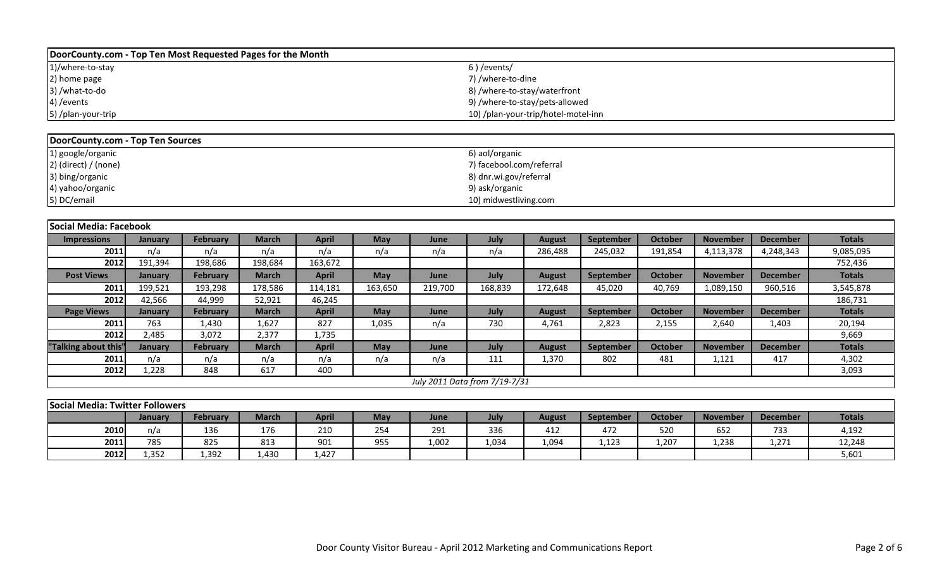| DoorCounty.com - Top Ten Most Requested Pages for the Month |                                     |
|-------------------------------------------------------------|-------------------------------------|
| 1)/where-to-stay                                            | 6)/events/                          |
| 2) home page                                                | 7) /where-to-dine                   |
| 3) /what-to-do                                              | 8) /where-to-stay/waterfront        |
| 4) / events                                                 | 9) /where-to-stay/pets-allowed      |
| 5) /plan-your-trip                                          | 10) /plan-your-trip/hotel-motel-inn |

| DoorCounty.com - Top Ten Sources |                          |
|----------------------------------|--------------------------|
| 1) google/organic                | 6) aol/organic           |
| $2)$ (direct) / (none)           | 7) facebool.com/referral |
| 3) bing/organic                  | 8) dnr.wi.gov/referral   |
| 4) yahoo/organic                 | 9) ask/organic           |
| 5) DC/email                      | 10) midwestliving.com    |

| Social Media: Facebook |         |                 |              |              |            |         |                               |               |                  |                |                 |                 |               |
|------------------------|---------|-----------------|--------------|--------------|------------|---------|-------------------------------|---------------|------------------|----------------|-----------------|-----------------|---------------|
| <b>Impressions</b>     | January | <b>February</b> | <b>March</b> | <b>April</b> | May        | June    | July                          | <b>August</b> | September        | <b>October</b> | <b>November</b> | <b>December</b> | <b>Totals</b> |
| 2011                   | n/a     | n/a             | n/a          | n/a          | n/a        | n/a     | n/a                           | 286,488       | 245,032          | 191,854        | 4,113,378       | 4,248,343       | 9,085,095     |
| 2012                   | 191,394 | 198,686         | 198,684      | 163,672      |            |         |                               |               |                  |                |                 |                 | 752,436       |
| <b>Post Views</b>      | January | <b>February</b> | <b>March</b> | <b>April</b> | May        | June    | July                          | <b>August</b> | September        | <b>October</b> | <b>November</b> | <b>December</b> | <b>Totals</b> |
| 2011                   | 199,521 | 193,298         | 178,586      | 114,181      | 163,650    | 219,700 | 168,839                       | 172,648       | 45,020           | 40,769         | 1,089,150       | 960,516         | 3,545,878     |
| 2012                   | 42,566  | 44,999          | 52,921       | 46,245       |            |         |                               |               |                  |                |                 |                 | 186,731       |
| <b>Page Views</b>      | January | February        | <b>March</b> | <b>April</b> | <b>May</b> | June    | July                          | <b>August</b> | <b>September</b> | October        | <b>November</b> | <b>December</b> | <b>Totals</b> |
| 2011                   | 763     | 1,430           | 1,627        | 827          | 1,035      | n/a     | 730                           | 4,761         | 2,823            | 2,155          | 2,640           | 1,403           | 20,194        |
| 2012                   | 2,485   | 3,072           | 2,377        | 1,735        |            |         |                               |               |                  |                |                 |                 | 9,669         |
| "Talking about this"   | January | February        | <b>March</b> | <b>April</b> | May        | June    | July                          | <b>August</b> | <b>September</b> | <b>October</b> | <b>November</b> | <b>December</b> | <b>Totals</b> |
| 2011                   | n/a     | n/a             | n/a          | n/a          | n/a        | n/a     | 111                           | 1,370         | 802              | 481            | 1,121           | 417             | 4,302         |
| 2012                   | 1,228   | 848             | 617          | 400          |            |         |                               |               |                  |                |                 |                 | 3,093         |
|                        |         |                 |              |              |            |         | July 2011 Data from 7/19-7/31 |               |                  |                |                 |                 |               |

| Social Media: Twitter Followers |         |          |       |       |     |       |       |               |           |         |                 |                 |               |
|---------------------------------|---------|----------|-------|-------|-----|-------|-------|---------------|-----------|---------|-----------------|-----------------|---------------|
|                                 | January | February | March | April | May | June  | July  | <b>August</b> | September | October | <b>November</b> | <b>December</b> | <b>Totals</b> |
| 2010                            | n/a     | 136      | 176   | 210   | 254 | 291   | 336   | 412           | 472       | 520     | 652             | 733             | 4,192         |
| 2011                            | 785     | 825      | 813   | 901   | 955 | 1,002 | 1,034 | 1,094         | 1,123     | 1,207   | 1,238           | 1,271           | 12,248        |
| 2012                            | 1.352   | 1,392    | 1.430 | 1,427 |     |       |       |               |           |         |                 |                 | 5,601         |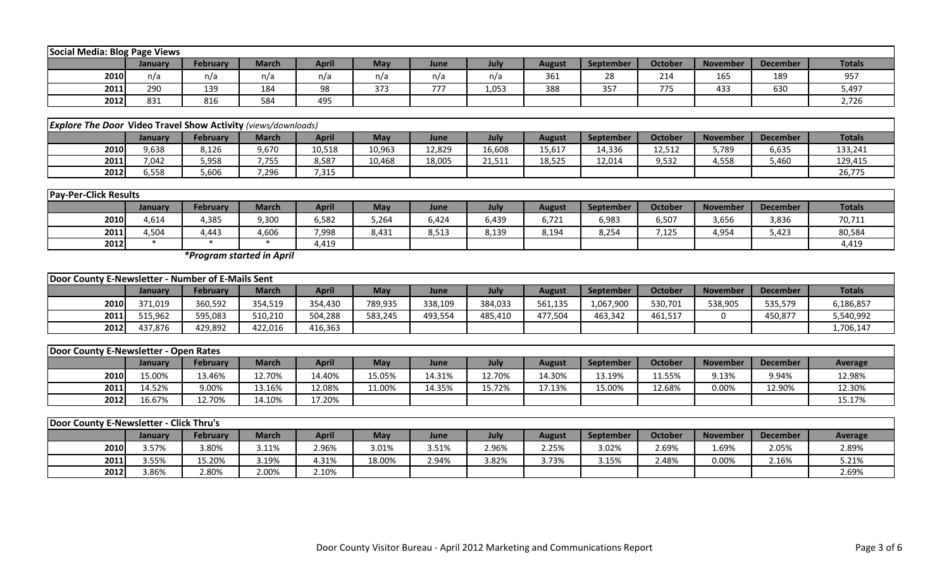|                                                                                                                                                       | Social Media: Blog Page Views |     |     |     |     |     |       |     |              |     |     |     |       |  |
|-------------------------------------------------------------------------------------------------------------------------------------------------------|-------------------------------|-----|-----|-----|-----|-----|-------|-----|--------------|-----|-----|-----|-------|--|
| April<br><b>Totals</b><br>July<br>October<br>February<br>May<br><b>November</b><br>March<br><b>December</b><br>September<br>August<br>June<br>January |                               |     |     |     |     |     |       |     |              |     |     |     |       |  |
| 2010                                                                                                                                                  | n/a                           | n/a | n/a | n/a | n/a | n/a | n/a   | 361 | $\sim$<br>28 | 214 | 165 | 189 | 957   |  |
| 2011                                                                                                                                                  | 290                           | 139 | 184 | 98  | 373 | 777 | 1,053 | 388 | 357          | 775 | 433 | 630 | 5,497 |  |
| 2012                                                                                                                                                  | 831                           | 816 | 584 | 495 |     |     |       |     |              |     |     |     | 2,726 |  |

| <b>Explore The Door Video Travel Show Activity (views/downloads)</b>                                                                                                              |       |       |                                        |        |        |        |        |        |        |        |       |       |         |  |
|-----------------------------------------------------------------------------------------------------------------------------------------------------------------------------------|-------|-------|----------------------------------------|--------|--------|--------|--------|--------|--------|--------|-------|-------|---------|--|
| <b>April</b><br><b>Totals</b><br><b>October</b><br><b>May</b><br>February<br><b>March</b><br><b>November</b><br>July<br><b>December</b><br>September<br>August<br>June<br>January |       |       |                                        |        |        |        |        |        |        |        |       |       |         |  |
| 2010                                                                                                                                                                              | 9,638 | 8,126 | 9,670                                  | 10,518 | 10,963 | 12,829 | 16,608 | 15,617 | 14,336 | 12,512 | 5,789 | 6,635 | 133,241 |  |
| 2011                                                                                                                                                                              | 7.042 | 5,958 | .<br>$\overline{\phantom{a}}$<br>,, JJ | 8,587  | 10,468 | 18,005 | 21,511 | 18,525 | 12,014 | 9,532  | 4,558 | 5,460 | 129,415 |  |
| 2012                                                                                                                                                                              | 5,558 | 606,د | ',296                                  | 7,315  |        |        |        |        |        |        |       |       | 26,775  |  |

| <b>Pay-Per-Click Results</b> |                |          |              |       |       |       |       |        |                  |         |                 |                 |               |
|------------------------------|----------------|----------|--------------|-------|-------|-------|-------|--------|------------------|---------|-----------------|-----------------|---------------|
|                              | <b>January</b> | February | <b>March</b> | April | May   | June  | July  | August | <b>September</b> | October | <b>November</b> | <b>December</b> | <b>Totals</b> |
| 2010                         | 4,614          | 1,385    | 9,300        | 6,582 | 5.264 | 6,424 | 439,د | 6,721  | 6,983            | 6,507   | 3,656           | 3,836           | 70,711        |
| 2011                         | 4,504          | 443,ا    | 4,606        | 7,998 | 8,431 | 8,513 | 8,139 | 8,194  | 8,254            | 7,125   | 4,954           | 5,423           | 80,584        |
| 2012                         |                |          |              | 4,419 |       |       |       |        |                  |         |                 |                 | 4,419         |

*\*Program started in April*

|      |         |                 | Door County E-Newsletter - Number of E-Mails Sent |              |         |         |         |               |           |         |                 |                 |               |  |  |
|------|---------|-----------------|---------------------------------------------------|--------------|---------|---------|---------|---------------|-----------|---------|-----------------|-----------------|---------------|--|--|
|      | Januarv | <b>February</b> | <b>March</b>                                      | <b>April</b> | May     | June    | July    | <b>August</b> | September | October | <b>November</b> | <b>December</b> | <b>Totals</b> |  |  |
| 2010 | 371.019 | 360,592         | 354,519                                           | 354.430      | 789,935 | 338,109 | 384,033 | 561,135       | 1,067,900 | 530,701 | 538,905         | 535,579         | 6,186,857     |  |  |
| 2011 | 515.962 | 595,083         | 510,210                                           | 504,288      | 583,245 | 493,554 | 485,410 | 477.504       | 463.342   | 461,517 |                 | 450,877         | 5,540,992     |  |  |
| 2012 | 437.876 | 429,892         | 422.016                                           | 416,363      |         |         |         |               |           |         |                 |                 | 1,706,147     |  |  |

| Door County E-Newsletter - Open Rates |         |                 |        |        |        |        |        |        |           |                |          |                 |                |
|---------------------------------------|---------|-----------------|--------|--------|--------|--------|--------|--------|-----------|----------------|----------|-----------------|----------------|
|                                       | January | <b>February</b> | March  | April  | May    | June   | July   | August | September | <b>October</b> | November | <b>December</b> | <b>Average</b> |
| <b>2010</b>                           | 5.00%   | 13.46%          | 12.70% | 14.40% | 15.05% | 14.31% | 12.70% | L4.30% | 13.19%    | 11.55%         | 9.13%    | 9.94%           | 12.98%         |
| 2011                                  | 4.52%   | 9.00%           | 13.16% | 12.08% | 1.00%  | 14.35% | 15.72% | L7.13% | 15.00%    | 12.68%         | 0.00%    | 12.90%          | 12.30%         |
| 2012                                  | 6.67%   | 12.70%          | 14.10% | 17.20% |        |        |        |        |           |                |          |                 | 15.17%         |

| <b>Door County E-Newsletter - Click Thru's</b>                                                                                                                |       |       |       |       |        |       |       |       |       |       |       |       |       |  |
|---------------------------------------------------------------------------------------------------------------------------------------------------------------|-------|-------|-------|-------|--------|-------|-------|-------|-------|-------|-------|-------|-------|--|
| April<br>May<br>July<br>October<br><b>February</b><br><b>November</b><br>Average<br>August<br>September<br><b>December</b><br><b>March</b><br>June<br>Januarv |       |       |       |       |        |       |       |       |       |       |       |       |       |  |
| 2010                                                                                                                                                          | 3.57% | 3.80% | 3.11% | 2.96% | 3.01%  | 3.51% | 2.96% | 2.25% | 3.02% | 2.69% | 1.69% | 2.05% | 2.89% |  |
| 2011                                                                                                                                                          | 3.55% | 5.20% | 3.19% | 1.31% | 18.00% | 2.94% | 3.82% | 3.73% | 3.15% | 2.48% | 0.00% | 2.16% | 5.21% |  |
| 2012                                                                                                                                                          | 3.86% | 2.80% | 2.00% | 2.10% |        |       |       |       |       |       |       |       | 2.69% |  |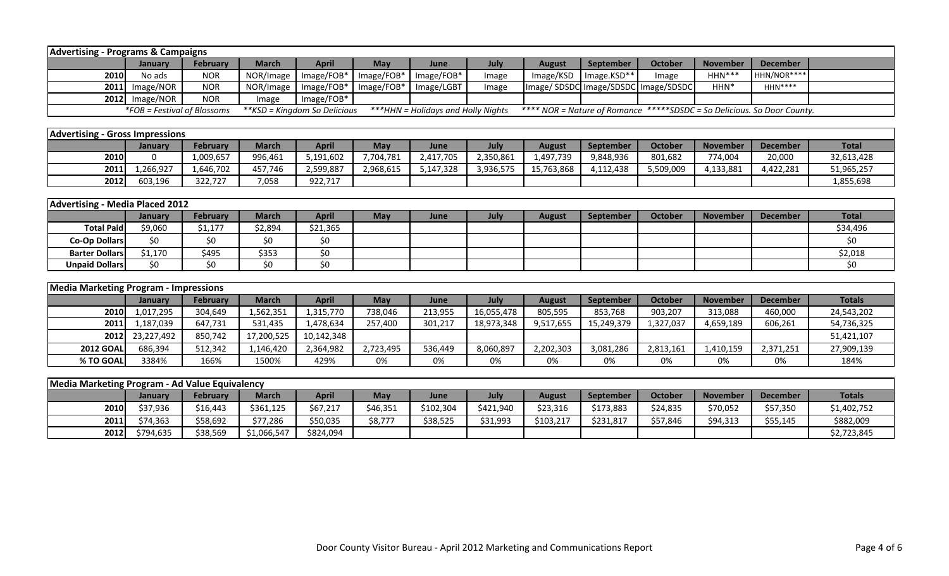| <b>Advertising - Programs &amp; Campaigns</b> |                               |                 |              |                              |            |                                    |           |                                                                         |             |                |                 |                 |              |
|-----------------------------------------------|-------------------------------|-----------------|--------------|------------------------------|------------|------------------------------------|-----------|-------------------------------------------------------------------------|-------------|----------------|-----------------|-----------------|--------------|
|                                               | January                       | <b>February</b> | <b>March</b> | <b>April</b>                 | <b>May</b> | June                               | July      | <b>August</b>                                                           | September   | <b>October</b> | <b>November</b> | <b>December</b> |              |
| 2010                                          | No ads                        | <b>NOR</b>      | NOR/Image    | Image/FOB*                   | Image/FOB* | Image/FOB*                         | Image     | Image/KSD                                                               | Image.KSD** | Image          | $HHN***$        | HHN/NOR****     |              |
| 2011                                          | Image/NOR                     | <b>NOR</b>      | NOR/Image    | Image/FOB*                   | Image/FOB* | Image/LGBT                         | Image     | Image/SDSDC Image/SDSDC Image/SDSDC                                     |             |                | $HHN^*$         | $HHN***$        |              |
| 2012                                          | Image/NOR                     | <b>NOR</b>      | Image        | Image/FOB*                   |            |                                    |           |                                                                         |             |                |                 |                 |              |
|                                               | $*FOB = Festival of Blossoms$ |                 |              | **KSD = Kingdom So Delicious |            | ***HHN = Holidays and Holly Nights |           | **** NOR = Nature of Romance *****SDSDC = So Delicious. So Door County. |             |                |                 |                 |              |
|                                               |                               |                 |              |                              |            |                                    |           |                                                                         |             |                |                 |                 |              |
| <b>Advertising - Gross Impressions</b>        |                               |                 |              |                              |            |                                    |           |                                                                         |             |                |                 |                 |              |
|                                               | January                       | <b>February</b> | <b>March</b> | <b>April</b>                 | May        | June                               | July      | <b>August</b>                                                           | September   | <b>October</b> | <b>November</b> | <b>December</b> | <b>Total</b> |
| 2010                                          | 0                             | 1,009,657       | 996,461      | 5,191,602                    | 7,704,781  | 2,417,705                          | 2,350,861 | 1,497,739                                                               | 9,848,936   | 801,682        | 774,004         | 20,000          | 32,613,428   |
| 2011                                          | ,266,927                      | 1,646,702       | 457,746      | 2,599,887                    | 2,968,615  | 5,147,328                          | 3,936,575 | 15,763,868                                                              | 4,112,438   | 5,509,009      | 4,133,881       | 4,422,281       | 51,965,257   |
| 2012                                          | 603,196                       | 322,727         | 7,058        | 922,717                      |            |                                    |           |                                                                         |             |                |                 |                 | 1,855,698    |
|                                               |                               |                 |              |                              |            |                                    |           |                                                                         |             |                |                 |                 |              |
| Advertising - Media Placed 2012               |                               |                 |              |                              |            |                                    |           |                                                                         |             |                |                 |                 |              |
|                                               |                               |                 |              |                              |            |                                    |           |                                                                         |             |                |                 |                 |              |
|                                               | January                       | February        | <b>March</b> | <b>April</b>                 | May        | June                               | July      | <b>August</b>                                                           | September   | <b>October</b> | <b>November</b> | <b>December</b> | <b>Total</b> |

| <b>Total Paid</b>     | \$9,060 | ، ناس اساب | \$2,894 | \$21,365 |  |  |  |  | \$34,496 |
|-----------------------|---------|------------|---------|----------|--|--|--|--|----------|
| Co-Op Dollars         |         |            |         | SO.      |  |  |  |  |          |
| <b>Barter Dollars</b> | 1,170ه  | \$495      | \$353   | S0       |  |  |  |  | \$2,018  |
| <b>Unpaid Dollars</b> |         |            |         | S0       |  |  |  |  |          |

|                  | <b>Media Marketing Program - Impressions</b> |                 |            |              |           |         |            |               |                  |                |                 |                 |               |
|------------------|----------------------------------------------|-----------------|------------|--------------|-----------|---------|------------|---------------|------------------|----------------|-----------------|-----------------|---------------|
|                  | <b>January</b>                               | <b>February</b> | March      | <b>April</b> | May       | June    | July       | <b>August</b> | <b>September</b> | <b>October</b> | <b>November</b> | <b>December</b> | <b>Totals</b> |
| <b>2010</b>      | 1,017,295                                    | 304,649         | .,562,351  | 1,315,770    | 738,046   | 213,955 | 16,055,478 | 805,595       | 853,768          | 903,207        | 313,088         | 460,000         | 24,543,202    |
| 2011             | l,187,039                                    | 647,731         | 531,435    | 1,478,634    | 257,400   | 301,217 | 18,973,348 | 9,517,655     | 15,249,379       | 1,327,037      | 4,659,189       | 606,261         | 54,736,325    |
| 2012             | 23,227,492                                   | 850,742         | 17,200,525 | 10,142,348   |           |         |            |               |                  |                |                 |                 | 51,421,107    |
| <b>2012 GOAL</b> | 686,394                                      | 512,342         | .146.420   | 2,364,982    | 2,723,495 | 536,449 | 8,060,897  | 2,202,303     | 3,081,286        | 2,813,161      | 1,410,159       | 2,371,251       | 27,909,139    |
| % TO GOAL        | 3384%                                        | 166%            | 1500%      | 429%         | 0%        | 0%      | 0%         | 0%            | 0%               | 0%             | 0%              | 0%              | 184%          |

| Media Marketing Program - Ad Value Equivalency |                |                 |             |           |          |           |           |           |           |          |                 |          |               |
|------------------------------------------------|----------------|-----------------|-------------|-----------|----------|-----------|-----------|-----------|-----------|----------|-----------------|----------|---------------|
|                                                | <b>January</b> | <b>February</b> | March       | April     | May      | June      | July      | August    | September | October  | <b>November</b> | December | <b>Totals</b> |
| 2010                                           | \$37,936       | \$16,443        | \$361,125   | \$67,217  | \$46,351 | \$102,304 | \$421,940 | \$23,316  | \$173,883 | \$24,835 | \$70,052        | \$57,350 | \$1,402,752   |
| 2011                                           | \$74,363       | \$58,692        | \$77,286    | \$50,035  | 58,777   | \$38,525  | \$31,993  | \$103,217 | \$231,817 | \$57,846 | \$94,313        | \$55,145 | \$882,009     |
| 2012                                           | \$794,635      | \$38,569        | \$1,066,547 | \$824,094 |          |           |           |           |           |          |                 |          | \$2,723,845   |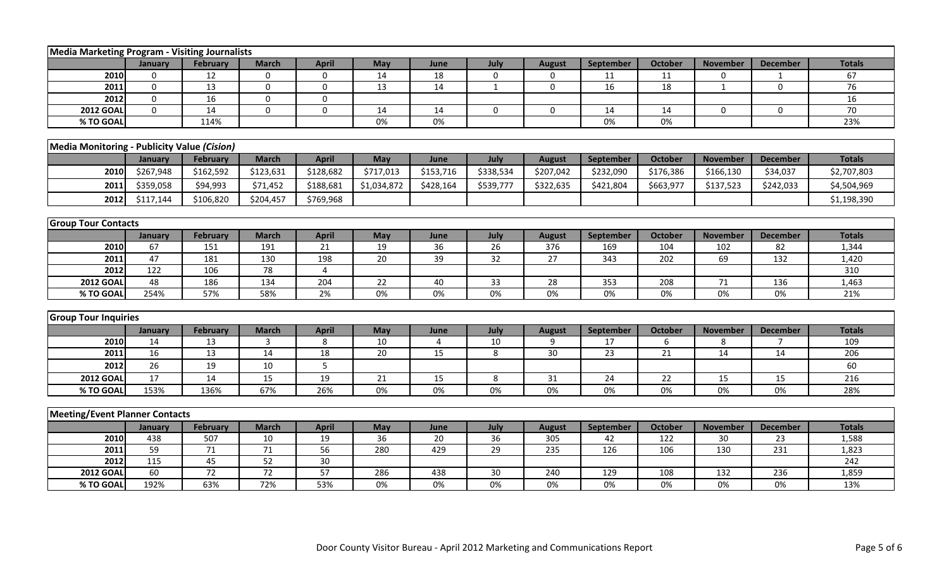| Media Marketing Program - Visiting Journalists     |                |                       |                       |                       |             |                 |                 |                 |                  |                  |                 |                  |                  |
|----------------------------------------------------|----------------|-----------------------|-----------------------|-----------------------|-------------|-----------------|-----------------|-----------------|------------------|------------------|-----------------|------------------|------------------|
|                                                    | January        | <b>February</b>       | <b>March</b>          | <b>April</b>          | <b>May</b>  | June            | July            | <b>August</b>   | September        | <b>October</b>   | <b>November</b> | <b>December</b>  | <b>Totals</b>    |
| 2010                                               | 0              | 12                    | $\mathbf 0$           | $\mathbf 0$           | 14          | 18              | 0               | 0               | 11               | 11               | 0               |                  | 67               |
| 2011                                               | $\mathbf 0$    | 13                    | $\mathbf 0$           | $\mathbf 0$           | 13          | 14              | $\mathbf{1}$    | $\mathbf 0$     | 16               | 18               | $\mathbf{1}$    | $\mathbf 0$      | 76               |
| 2012                                               | $\mathbf 0$    | 16                    | $\mathbf 0$           | 0                     |             |                 |                 |                 |                  |                  |                 |                  | 16               |
| <b>2012 GOAL</b>                                   | $\mathbf 0$    | 14                    | $\mathbf 0$           | $\mathbf 0$           | 14          | 14              | $\mathbf 0$     | 0               | 14               | 14               | 0               | $\boldsymbol{0}$ | 70               |
| % TO GOAL                                          |                | 114%                  |                       |                       | $0\%$       | 0%              |                 |                 | 0%               | 0%               |                 |                  | 23%              |
|                                                    |                |                       |                       |                       |             |                 |                 |                 |                  |                  |                 |                  |                  |
| <b>Media Monitoring - Publicity Value (Cision)</b> |                |                       |                       |                       |             |                 |                 |                 |                  |                  |                 |                  |                  |
|                                                    | January        | <b>February</b>       | <b>March</b>          | <b>April</b>          | May         | June            | July            | <b>August</b>   | <b>September</b> | <b>October</b>   | <b>November</b> | <b>December</b>  | <b>Totals</b>    |
| 2010                                               | \$267,948      | \$162,592             | \$123,631             | \$128,682             | \$717,013   | \$153,716       | \$338,534       | \$207,042       | \$232,090        | \$176,386        | \$166,130       | \$34,037         | \$2,707,803      |
| 2011                                               | \$359,058      | \$94,993              | \$71,452              | \$188,681             | \$1,034,872 | \$428,164       | \$539,777       | \$322,635       | \$421,804        | \$663,977        | \$137,523       | \$242,033        | \$4,504,969      |
| 2012                                               | \$117,144      | \$106,820             | \$204,457             | \$769,968             |             |                 |                 |                 |                  |                  |                 |                  | \$1,198,390      |
|                                                    |                |                       |                       |                       |             |                 |                 |                 |                  |                  |                 |                  |                  |
| <b>Group Tour Contacts</b>                         |                |                       |                       |                       |             |                 |                 |                 |                  |                  |                 |                  |                  |
|                                                    | January        | <b>February</b>       | <b>March</b>          | <b>April</b>          | May         | June            | July            | <b>August</b>   | September        | <b>October</b>   | <b>November</b> | <b>December</b>  | <b>Totals</b>    |
| 2010                                               | 67             | 151                   | 191                   | 21                    | 19          | 36              | 26              | 376             | 169              | 104              | 102             | 82               | 1,344            |
| 2011                                               | 47             | 181                   | 130                   | 198                   | 20          | $\overline{39}$ | 32              | $\overline{27}$ | 343              | $\overline{202}$ | 69              | $\overline{132}$ | 1,420            |
| 2012                                               | $\frac{1}{22}$ | 106                   | 78                    | 4                     |             |                 |                 |                 |                  |                  |                 |                  | 310              |
| <b>2012 GOAL</b>                                   | 48             | 186                   | 134                   | 204                   | 22          | 40              | 33              | 28              | 353              | 208              | 71              | 136              | 1,463            |
| % TO GOAL                                          | 254%           | 57%                   | 58%                   | 2%                    | 0%          | 0%              | 0%              | 0%              | 0%               | $0\%$            | 0%              | 0%               | 21%              |
|                                                    |                |                       |                       |                       |             |                 |                 |                 |                  |                  |                 |                  |                  |
| <b>Group Tour Inquiries</b>                        |                |                       |                       |                       |             |                 |                 |                 |                  |                  |                 |                  |                  |
|                                                    | January        | <b>February</b>       | <b>March</b>          | <b>April</b>          | May         | June            | July            | <b>August</b>   | September        | <b>October</b>   | <b>November</b> | <b>December</b>  | <b>Totals</b>    |
| 2010                                               | 14             | 13                    | 3                     | 8                     | 10          | 4               | 10              | 9               | 17               | 6                | 8               | $\overline{7}$   | 109              |
| 2011                                               | 16             | 13                    | 14                    | 18                    | 20          | 15              | 8               | 30              | 23               | 21               | 14              | 14               | 206              |
| 2012                                               | 26             | 19                    | 10                    | 5                     |             |                 |                 |                 |                  |                  |                 |                  | 60               |
| <b>2012 GOAL</b>                                   | 17             | 14                    | 15                    | 19                    | 21          | 15              | 8               | 31              | 24               | 22               | 15              | 15               | 216              |
| % TO GOAL                                          | 153%           | 136%                  | 67%                   | 26%                   | $0\%$       | $0\%$           | $0\%$           | 0%              | 0%               | 0%               | 0%              | $0\%$            | 28%              |
|                                                    |                |                       |                       |                       |             |                 |                 |                 |                  |                  |                 |                  |                  |
| <b>Meeting/Event Planner Contacts</b>              |                |                       |                       |                       |             |                 |                 |                 |                  |                  |                 |                  |                  |
|                                                    | January        | <b>February</b>       | <b>March</b>          | <b>April</b>          | May         | June            | July            | <b>August</b>   | September        | <b>October</b>   | <b>November</b> | <b>December</b>  | <b>Totals</b>    |
| 2010                                               | 438            | 507                   | 10                    | 19                    | 36          | 20              | 36              | 305             | 42               | 122              | 30              | 23               | 1,588            |
| 2011                                               | 59             | $\overline{71}$       | $\overline{71}$       | 56                    | 280         | 429             | $\overline{29}$ | 235             | 126              | 106              | 130             | 231              | 1,823            |
| 2012<br><b>2012 GOAI</b>                           | 115<br>60      | 45<br>$\overline{72}$ | 52<br>$\overline{72}$ | 30 <sup>°</sup><br>57 |             | 438             | 30              |                 |                  |                  |                 | 236              | $\overline{242}$ |
| % TO GOAL                                          | 192%           | 63%                   | 72%                   | 53%                   | 286<br>0%   | 0%              | 0%              | 240<br>0%       | 129<br>0%        | 108<br>0%        | 132<br>0%       | 0%               | 1,859<br>13%     |
|                                                    |                |                       |                       |                       |             |                 |                 |                 |                  |                  |                 |                  |                  |